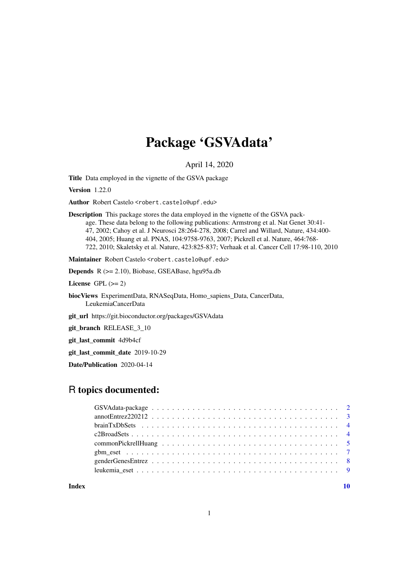## Package 'GSVAdata'

April 14, 2020

Title Data employed in the vignette of the GSVA package

Version 1.22.0

Author Robert Castelo <robert.castelo@upf.edu>

Description This package stores the data employed in the vignette of the GSVA package. These data belong to the following publications: Armstrong et al. Nat Genet 30:41- 47, 2002; Cahoy et al. J Neurosci 28:264-278, 2008; Carrel and Willard, Nature, 434:400- 404, 2005; Huang et al. PNAS, 104:9758-9763, 2007; Pickrell et al. Nature, 464:768- 722, 2010; Skaletsky et al. Nature, 423:825-837; Verhaak et al. Cancer Cell 17:98-110, 2010

Maintainer Robert Castelo <robert.castelo@upf.edu>

Depends R (>= 2.10), Biobase, GSEABase, hgu95a.db

License GPL  $(>= 2)$ 

biocViews ExperimentData, RNASeqData, Homo\_sapiens\_Data, CancerData, LeukemiaCancerData

git\_url https://git.bioconductor.org/packages/GSVAdata

git\_branch RELEASE\_3\_10

git\_last\_commit 4d9b4cf

git\_last\_commit\_date 2019-10-29

Date/Publication 2020-04-14

## R topics documented:

 $\blacksquare$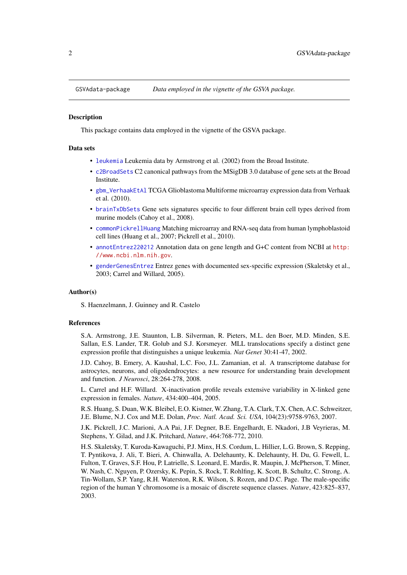<span id="page-1-0"></span>

This package contains data employed in the vignette of the GSVA package.

## Data sets

- [leukemia](#page-8-1) Leukemia data by Armstrong et al. (2002) from the Broad Institute.
- [c2BroadSets](#page-3-1) C2 canonical pathways from the MSigDB 3.0 database of gene sets at the Broad **Institute**
- [gbm\\_VerhaakEtAl](#page-6-1) TCGA Glioblastoma Multiforme microarray expression data from Verhaak et al. (2010).
- [brainTxDbSets](#page-3-2) Gene sets signatures specific to four different brain cell types derived from murine models (Cahoy et al., 2008).
- [commonPickrellHuang](#page-4-1) Matching microarray and RNA-seq data from human lymphoblastoid cell lines (Huang et al., 2007; Pickrell et al., 2010).
- [annotEntrez220212](#page-2-1) Annotation data on gene length and G+C content from NCBI at [http:](http://www.ncbi.nlm.nih.gov) [//www.ncbi.nlm.nih.gov](http://www.ncbi.nlm.nih.gov).
- [genderGenesEntrez](#page-7-1) Entrez genes with documented sex-specific expression (Skaletsky et al., 2003; Carrel and Willard, 2005).

#### Author(s)

S. Haenzelmann, J. Guinney and R. Castelo

## References

S.A. Armstrong, J.E. Staunton, L.B. Silverman, R. Pieters, M.L. den Boer, M.D. Minden, S.E. Sallan, E.S. Lander, T.R. Golub and S.J. Korsmeyer. MLL translocations specify a distinct gene expression profile that distinguishes a unique leukemia. *Nat Genet* 30:41-47, 2002.

J.D. Cahoy, B. Emery, A. Kaushal, L.C. Foo, J.L. Zamanian, et al. A transcriptome database for astrocytes, neurons, and oligodendrocytes: a new resource for understanding brain development and function. *J Neurosci*, 28:264-278, 2008.

L. Carrel and H.F. Willard. X-inactivation profile reveals extensive variability in X-linked gene expression in females. *Nature*, 434:400–404, 2005.

R.S. Huang, S. Duan, W.K. Bleibel, E.O. Kistner, W. Zhang, T.A. Clark, T.X. Chen, A.C. Schweitzer, J.E. Blume, N.J. Cox and M.E. Dolan, *Proc. Natl. Acad. Sci. USA*, 104(23):9758-9763, 2007.

J.K. Pickrell, J.C. Marioni, A.A Pai, J.F. Degner, B.E. Engelhardt, E. Nkadori, J.B Veyrieras, M. Stephens, Y. Gilad, and J.K. Pritchard, *Nature*, 464:768-772, 2010.

H.S. Skaletsky, T. Kuroda-Kawaguchi, P.J. Minx, H.S. Cordum, L. Hillier, L.G. Brown, S. Repping, T. Pyntikova, J. Ali, T. Bieri, A. Chinwalla, A. Delehaunty, K. Delehaunty, H. Du, G. Fewell, L. Fulton, T. Graves, S.F. Hou, P. Latrielle, S. Leonard, E. Mardis, R. Maupin, J. McPherson, T. Miner, W. Nash, C. Nguyen, P. Ozersky, K. Pepin, S. Rock, T. Rohlfing, K. Scott, B. Schultz, C. Strong, A. Tin-Wollam, S.P. Yang, R.H. Waterston, R.K. Wilson, S. Rozen, and D.C. Page. The male-specific region of the human Y chromosome is a mosaic of discrete sequence classes. *Nature*, 423:825–837, 2003.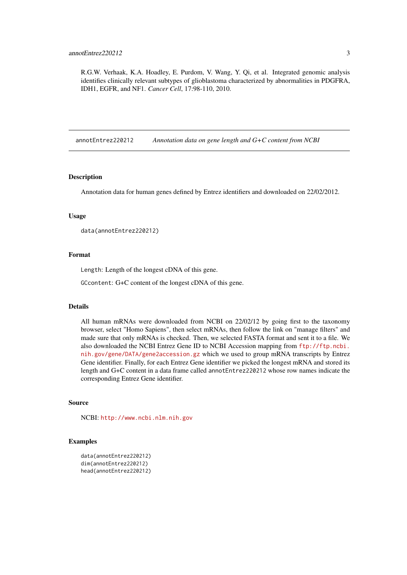<span id="page-2-0"></span>R.G.W. Verhaak, K.A. Hoadley, E. Purdom, V. Wang, Y. Qi, et al. Integrated genomic analysis identifies clinically relevant subtypes of glioblastoma characterized by abnormalities in PDGFRA, IDH1, EGFR, and NF1. *Cancer Cell*, 17:98-110, 2010.

<span id="page-2-1"></span>annotEntrez220212 *Annotation data on gene length and G+C content from NCBI*

## Description

Annotation data for human genes defined by Entrez identifiers and downloaded on 22/02/2012.

#### Usage

```
data(annotEntrez220212)
```
#### Format

Length: Length of the longest cDNA of this gene.

GCcontent: G+C content of the longest cDNA of this gene.

#### Details

All human mRNAs were downloaded from NCBI on 22/02/12 by going first to the taxonomy browser, select "Homo Sapiens", then select mRNAs, then follow the link on "manage filters" and made sure that only mRNAs is checked. Then, we selected FASTA format and sent it to a file. We also downloaded the NCBI Entrez Gene ID to NCBI Accession mapping from [ftp://ftp.ncbi.](ftp://ftp.ncbi.nih.gov/gene/DATA/gene2accession.gz) [nih.gov/gene/DATA/gene2accession.gz](ftp://ftp.ncbi.nih.gov/gene/DATA/gene2accession.gz) which we used to group mRNA transcripts by Entrez Gene identifier. Finally, for each Entrez Gene identifier we picked the longest mRNA and stored its length and G+C content in a data frame called annotEntrez220212 whose row names indicate the corresponding Entrez Gene identifier.

## Source

NCBI: <http://www.ncbi.nlm.nih.gov>

```
data(annotEntrez220212)
dim(annotEntrez220212)
head(annotEntrez220212)
```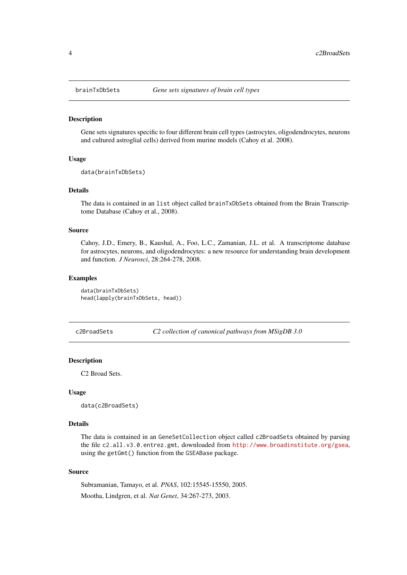<span id="page-3-2"></span><span id="page-3-0"></span>

Gene sets signatures specific to four different brain cell types (astrocytes, oligodendrocytes, neurons and cultured astroglial cells) derived from murine models (Cahoy et al. 2008).

## Usage

```
data(brainTxDbSets)
```
## Details

The data is contained in an list object called brainTxDbSets obtained from the Brain Transcriptome Database (Cahoy et al., 2008).

## Source

Cahoy, J.D., Emery, B., Kaushal, A., Foo, L.C., Zamanian, J.L. et al. A transcriptome database for astrocytes, neurons, and oligodendrocytes: a new resource for understanding brain development and function. *J Neurosci*, 28:264-278, 2008.

## Examples

data(brainTxDbSets) head(lapply(brainTxDbSets, head))

<span id="page-3-1"></span>c2BroadSets *C2 collection of canonical pathways from MSigDB 3.0*

## Description

C2 Broad Sets.

## Usage

data(c2BroadSets)

## Details

The data is contained in an GeneSetCollection object called c2BroadSets obtained by parsing the file c2.all.v3.0.entrez.gmt, downloaded from <http://www.broadinstitute.org/gsea>, using the getGmt() function from the GSEABase package.

## Source

Subramanian, Tamayo, et al. *PNAS*, 102:15545-15550, 2005. Mootha, Lindgren, et al. *Nat Genet*, 34:267-273, 2003.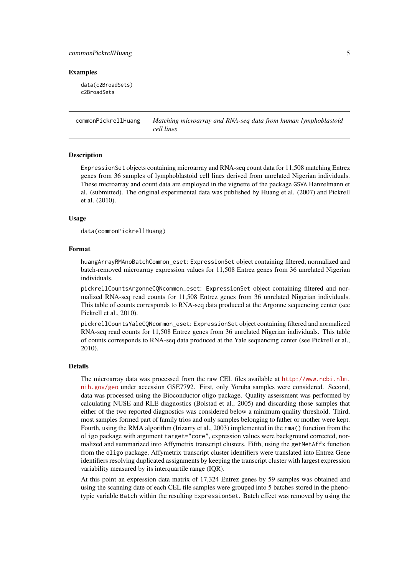## <span id="page-4-0"></span>commonPickrellHuang 5

#### Examples

data(c2BroadSets) c2BroadSets

<span id="page-4-1"></span>commonPickrellHuang *Matching microarray and RNA-seq data from human lymphoblastoid cell lines*

### Description

ExpressionSet objects containing microarray and RNA-seq count data for 11,508 matching Entrez genes from 36 samples of lymphoblastoid cell lines derived from unrelated Nigerian individuals. These microarray and count data are employed in the vignette of the package GSVA Hanzelmann et al. (submitted). The original experimental data was published by Huang et al. (2007) and Pickrell et al. (2010).

## Usage

data(commonPickrellHuang)

#### Format

huangArrayRMAnoBatchCommon\_eset: ExpressionSet object containing filtered, normalized and batch-removed microarray expression values for 11,508 Entrez genes from 36 unrelated Nigerian individuals.

pickrellCountsArgonneCQNcommon\_eset: ExpressionSet object containing filtered and normalized RNA-seq read counts for 11,508 Entrez genes from 36 unrelated Nigerian individuals. This table of counts corresponds to RNA-seq data produced at the Argonne sequencing center (see Pickrell et al., 2010).

pickrellCountsYaleCQNcommon\_eset: ExpressionSet object containing filtered and normalized RNA-seq read counts for 11,508 Entrez genes from 36 unrelated Nigerian individuals. This table of counts corresponds to RNA-seq data produced at the Yale sequencing center (see Pickrell et al., 2010).

## Details

The microarray data was processed from the raw CEL files available at [http://www.ncbi.nlm.](http://www.ncbi.nlm.nih.gov/geo) [nih.gov/geo](http://www.ncbi.nlm.nih.gov/geo) under accession GSE7792. First, only Yoruba samples were considered. Second, data was processed using the Bioconductor oligo package. Quality assessment was performed by calculating NUSE and RLE diagnostics (Bolstad et al., 2005) and discarding those samples that either of the two reported diagnostics was considered below a minimum quality threshold. Third, most samples formed part of family trios and only samples belonging to father or mother were kept. Fourth, using the RMA algorithm (Irizarry et al., 2003) implemented in the rma() function from the oligo package with argument target="core", expression values were background corrected, normalized and summarized into Affymetrix transcript clusters. Fifth, using the getNetAffx function from the oligo package, Affymetrix transcript cluster identifiers were translated into Entrez Gene identifiers resolving duplicated assignments by keeping the transcript cluster with largest expression variability measured by its interquartile range (IQR).

At this point an expression data matrix of 17,324 Entrez genes by 59 samples was obtained and using the scanning date of each CEL file samples were grouped into 5 batches stored in the phenotypic variable Batch within the resulting ExpressionSet. Batch effect was removed by using the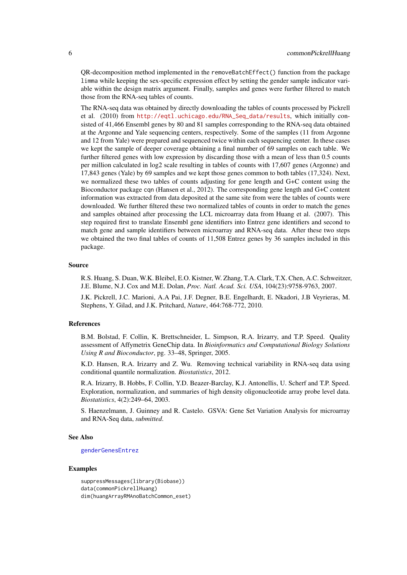<span id="page-5-0"></span>QR-decomposition method implemented in the removeBatchEffect() function from the package limma while keeping the sex-specific expression effect by setting the gender sample indicator variable within the design matrix argument. Finally, samples and genes were further filtered to match those from the RNA-seq tables of counts.

The RNA-seq data was obtained by directly downloading the tables of counts processed by Pickrell et al. (2010) from [http://eqtl.uchicago.edu/RNA\\_Seq\\_data/results](http://eqtl.uchicago.edu/RNA_Seq_data/results), which initially consisted of 41,466 Ensembl genes by 80 and 81 samples corresponding to the RNA-seq data obtained at the Argonne and Yale sequencing centers, respectively. Some of the samples (11 from Argonne and 12 from Yale) were prepared and sequenced twice within each sequencing center. In these cases we kept the sample of deeper coverage obtaining a final number of 69 samples on each table. We further filtered genes with low expression by discarding those with a mean of less than 0.5 counts per million calculated in log2 scale resulting in tables of counts with 17,607 genes (Argonne) and 17,843 genes (Yale) by 69 samples and we kept those genes common to both tables (17,324). Next, we normalized these two tables of counts adjusting for gene length and G+C content using the Bioconductor package cqn (Hansen et al., 2012). The corresponding gene length and G+C content information was extracted from data deposited at the same site from were the tables of counts were downloaded. We further filtered these two normalized tables of counts in order to match the genes and samples obtained after processing the LCL microarray data from Huang et al. (2007). This step required first to translate Ensembl gene identifiers into Entrez gene identifiers and second to match gene and sample identifiers between microarray and RNA-seq data. After these two steps we obtained the two final tables of counts of 11,508 Entrez genes by 36 samples included in this package.

## Source

R.S. Huang, S. Duan, W.K. Bleibel, E.O. Kistner, W. Zhang, T.A. Clark, T.X. Chen, A.C. Schweitzer, J.E. Blume, N.J. Cox and M.E. Dolan, *Proc. Natl. Acad. Sci. USA*, 104(23):9758-9763, 2007.

J.K. Pickrell, J.C. Marioni, A.A Pai, J.F. Degner, B.E. Engelhardt, E. Nkadori, J.B Veyrieras, M. Stephens, Y. Gilad, and J.K. Pritchard, *Nature*, 464:768-772, 2010.

## References

B.M. Bolstad, F. Collin, K. Brettschneider, L. Simpson, R.A. Irizarry, and T.P. Speed. Quality assessment of Affymetrix GeneChip data. In *Bioinformatics and Computational Biology Solutions Using R and Bioconductor*, pg. 33–48, Springer, 2005.

K.D. Hansen, R.A. Irizarry and Z. Wu. Removing technical variability in RNA-seq data using conditional quantile normalization. *Biostatistics*, 2012.

R.A. Irizarry, B. Hobbs, F. Collin, Y.D. Beazer-Barclay, K.J. Antonellis, U. Scherf and T.P. Speed. Exploration, normalization, and summaries of high density oligonucleotide array probe level data. *Biostatistics*, 4(2):249–64, 2003.

S. Haenzelmann, J. Guinney and R. Castelo. GSVA: Gene Set Variation Analysis for microarray and RNA-Seq data, *submitted*.

## See Also

#### [genderGenesEntrez](#page-7-1)

```
suppressMessages(library(Biobase))
data(commonPickrellHuang)
dim(huangArrayRMAnoBatchCommon_eset)
```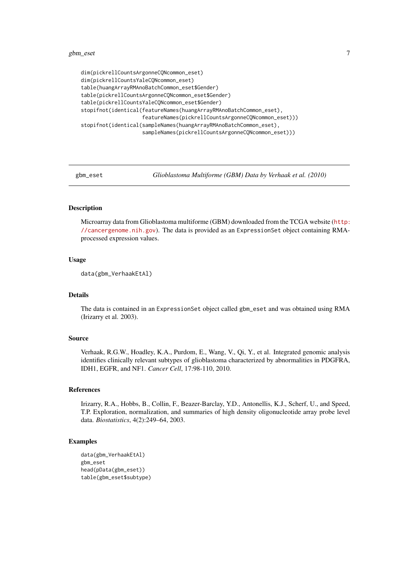## <span id="page-6-0"></span>gbm\_eset 7

```
dim(pickrellCountsArgonneCQNcommon_eset)
dim(pickrellCountsYaleCQNcommon_eset)
table(huangArrayRMAnoBatchCommon_eset$Gender)
table(pickrellCountsArgonneCQNcommon_eset$Gender)
table(pickrellCountsYaleCQNcommon_eset$Gender)
stopifnot(identical(featureNames(huangArrayRMAnoBatchCommon_eset),
                    featureNames(pickrellCountsArgonneCQNcommon_eset)))
stopifnot(identical(sampleNames(huangArrayRMAnoBatchCommon_eset),
                    sampleNames(pickrellCountsArgonneCQNcommon_eset)))
```
gbm\_eset *Glioblastoma Multiforme (GBM) Data by Verhaak et al. (2010)*

## <span id="page-6-1"></span>Description

Microarray data from Glioblastoma multiforme (GBM) downloaded from the TCGA website ([http:](http://cancergenome.nih.gov) [//cancergenome.nih.gov](http://cancergenome.nih.gov)). The data is provided as an ExpressionSet object containing RMAprocessed expression values.

## Usage

```
data(gbm_VerhaakEtAl)
```
## Details

The data is contained in an ExpressionSet object called gbm\_eset and was obtained using RMA (Irizarry et al. 2003).

## Source

Verhaak, R.G.W., Hoadley, K.A., Purdom, E., Wang, V., Qi, Y., et al. Integrated genomic analysis identifies clinically relevant subtypes of glioblastoma characterized by abnormalities in PDGFRA, IDH1, EGFR, and NF1. *Cancer Cell*, 17:98-110, 2010.

## References

Irizarry, R.A., Hobbs, B., Collin, F., Beazer-Barclay, Y.D., Antonellis, K.J., Scherf, U., and Speed, T.P. Exploration, normalization, and summaries of high density oligonucleotide array probe level data. *Biostatistics*, 4(2):249–64, 2003.

```
data(gbm_VerhaakEtAl)
gbm_eset
head(pData(gbm_eset))
table(gbm_eset$subtype)
```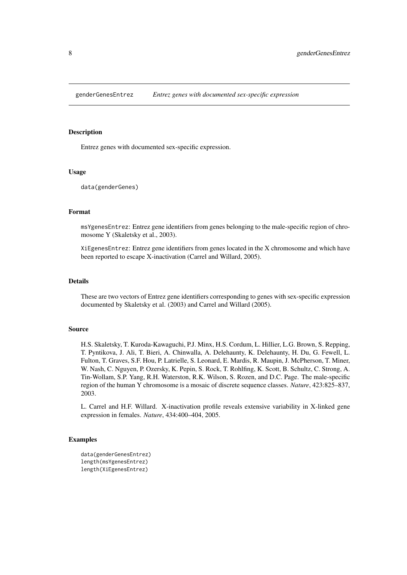<span id="page-7-1"></span><span id="page-7-0"></span>

Entrez genes with documented sex-specific expression.

## Usage

```
data(genderGenes)
```
## Format

msYgenesEntrez: Entrez gene identifiers from genes belonging to the male-specific region of chromosome Y (Skaletsky et al., 2003).

XiEgenesEntrez: Entrez gene identifiers from genes located in the X chromosome and which have been reported to escape X-inactivation (Carrel and Willard, 2005).

## Details

These are two vectors of Entrez gene identifiers corresponding to genes with sex-specific expression documented by Skaletsky et al. (2003) and Carrel and Willard (2005).

#### Source

H.S. Skaletsky, T. Kuroda-Kawaguchi, P.J. Minx, H.S. Cordum, L. Hillier, L.G. Brown, S. Repping, T. Pyntikova, J. Ali, T. Bieri, A. Chinwalla, A. Delehaunty, K. Delehaunty, H. Du, G. Fewell, L. Fulton, T. Graves, S.F. Hou, P. Latrielle, S. Leonard, E. Mardis, R. Maupin, J. McPherson, T. Miner, W. Nash, C. Nguyen, P. Ozersky, K. Pepin, S. Rock, T. Rohlfing, K. Scott, B. Schultz, C. Strong, A. Tin-Wollam, S.P. Yang, R.H. Waterston, R.K. Wilson, S. Rozen, and D.C. Page. The male-specific region of the human Y chromosome is a mosaic of discrete sequence classes. *Nature*, 423:825–837, 2003.

L. Carrel and H.F. Willard. X-inactivation profile reveals extensive variability in X-linked gene expression in females. *Nature*, 434:400–404, 2005.

```
data(genderGenesEntrez)
length(msYgenesEntrez)
length(XiEgenesEntrez)
```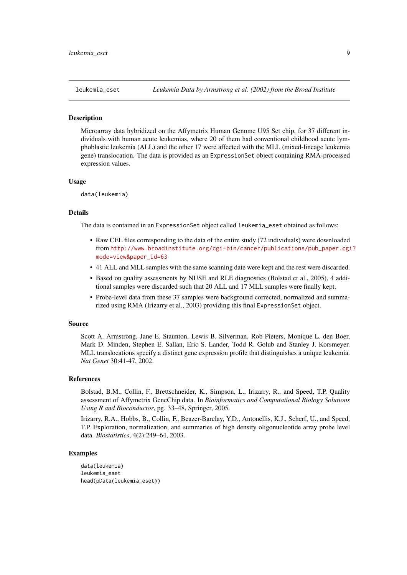<span id="page-8-1"></span><span id="page-8-0"></span>

Microarray data hybridized on the Affymetrix Human Genome U95 Set chip, for 37 different individuals with human acute leukemias, where 20 of them had conventional childhood acute lymphoblastic leukemia (ALL) and the other 17 were affected with the MLL (mixed-lineage leukemia gene) translocation. The data is provided as an ExpressionSet object containing RMA-processed expression values.

#### Usage

data(leukemia)

## Details

The data is contained in an ExpressionSet object called leukemia\_eset obtained as follows:

- Raw CEL files corresponding to the data of the entire study (72 individuals) were downloaded from [http://www.broadinstitute.org/cgi-bin/cancer/publications/pub\\_paper.cgi](http://www.broadinstitute.org/cgi-bin/cancer/publications/pub_paper.cgi?mode=view&paper_id=63)? [mode=view&paper\\_id=63](http://www.broadinstitute.org/cgi-bin/cancer/publications/pub_paper.cgi?mode=view&paper_id=63)
- 41 ALL and MLL samples with the same scanning date were kept and the rest were discarded.
- Based on quality assessments by NUSE and RLE diagnostics (Bolstad et al., 2005), 4 additional samples were discarded such that 20 ALL and 17 MLL samples were finally kept.
- Probe-level data from these 37 samples were background corrected, normalized and summarized using RMA (Irizarry et al., 2003) providing this final ExpressionSet object.

#### Source

Scott A. Armstrong, Jane E. Staunton, Lewis B. Silverman, Rob Pieters, Monique L. den Boer, Mark D. Minden, Stephen E. Sallan, Eric S. Lander, Todd R. Golub and Stanley J. Korsmeyer. MLL translocations specify a distinct gene expression profile that distinguishes a unique leukemia. *Nat Genet* 30:41-47, 2002.

## References

Bolstad, B.M., Collin, F., Brettschneider, K., Simpson, L., Irizarry, R., and Speed, T.P. Quality assessment of Affymetrix GeneChip data. In *Bioinformatics and Computational Biology Solutions Using R and Bioconductor*, pg. 33–48, Springer, 2005.

Irizarry, R.A., Hobbs, B., Collin, F., Beazer-Barclay, Y.D., Antonellis, K.J., Scherf, U., and Speed, T.P. Exploration, normalization, and summaries of high density oligonucleotide array probe level data. *Biostatistics*, 4(2):249–64, 2003.

```
data(leukemia)
leukemia_eset
head(pData(leukemia_eset))
```